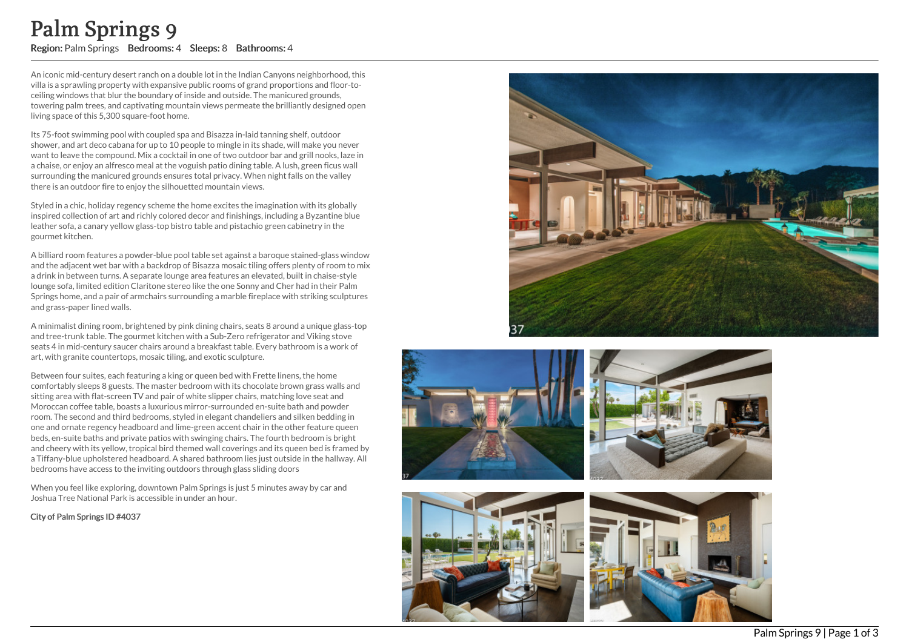An iconic mid-century desert ranch on a double lot in the Indian Canyons neighborhood, this villa is a sprawling property with expansive public rooms of grand proportions and floor-toceiling windows that blur the boundary of inside and outside. The manicured grounds, towering palm trees, and captivating mountain views permeate the brilliantly designed open living space of this 5,300 square-foot home.

Its 75-foot swimming pool with coupled spa and Bisazza in-laid tanning shelf, outdoor shower, and art deco cabana for up to 10 people to mingle in its shade, will make you never want to leave the compound. Mix a cocktail in one of two outdoor bar and grill nooks, laze in a chaise, or enjoy an alfresco meal at the voguish patio dining table. A lush, green ficus wall surrounding the manicured grounds ensures total privacy. When night falls on the valley there is an outdoor fire to enjoy the silhouetted mountain views.

Styled in a chic, holiday regency scheme the home excites the imagination with its globally inspired collection of art and richly colored decor and finishings, including a Byzantine blue leather sofa, a canary yellow glass-top bistro table and pistachio green cabinetry in the gourmet kitchen.

A billiard room features a powder-blue pool table set against a baroque stained-glass window and the adjacent wet bar with a backdrop of Bisazza mosaic tiling offers plenty of room to mix a drink in between turns. A separate lounge area features an elevated, built in chaise-style lounge sofa, limited edition Claritone stereo like the one Sonny and Cher had in their Palm Springs home, and a pair of armchairs surrounding a marble fireplace with striking sculptures and grass-paper lined walls.

A minimalist dining room, brightened by pink dining chairs, seats 8 around a unique glass-top and tree-trunk table. The gourmet kitchen with a Sub-Zero refrigerator and Viking stove seats 4 in mid-century saucer chairs around a breakfast table. Every bathroom is a work of art, with granite countertops, mosaic tiling, and exotic sculpture.

Between four suites, each featuring a king or queen bed with Frette linens, the home comfortably sleeps 8 guests. The master bedroom with its chocolate brown grass walls and sitting area with flat-screen TV and pair of white slipper chairs, matching love seat and Moroccan coffee table, boasts a luxurious mirror-surrounded en-suite bath and powder room. The second and third bedrooms, styled in elegant chandeliers and silken bedding in one and ornate regency headboard and lime-green accent chair in the other feature queen beds, en-suite baths and private patios with swinging chairs. The fourth bedroom is bright and cheery with its yellow, tropical bird themed wall coverings and its queen bed is framed by a Tiffany-blue upholstered headboard. A shared bathroom lies just outside in the hallway. All bedrooms have access to the inviting outdoors through glass sliding doors **Palm Springs 9 Q**<br> **Region:** Palm Springs Bedrooms: 4 Sleeps: 8 Bathrooms: 4<br>
An iconic mid-century desert ranch on a double lot in the Indian Canyons<br>
villa is a sprawling property with expansive public rooms of grand pr

When you feel like exploring, downtown Palm Springs is just 5 minutes away by car and Joshua Tree National Park is accessible in under an hour.







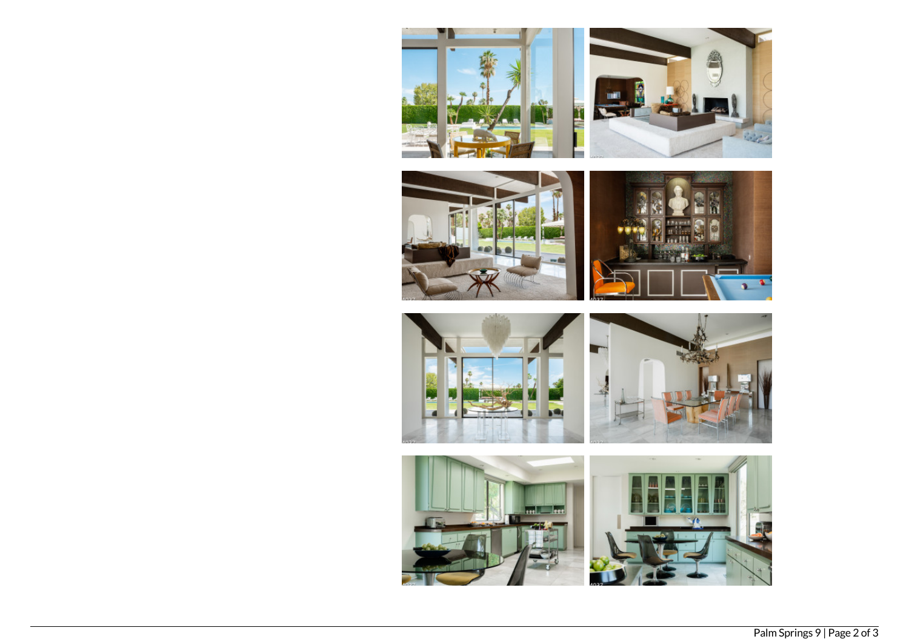



M